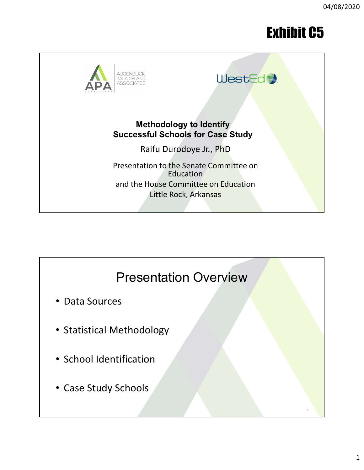# Exhibit C5



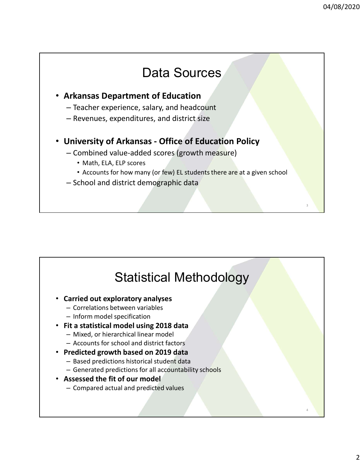## Data Sources

### • Arkansas Department of Education

- Teacher experience, salary, and headcount
- Revenues, expenditures, and district size

# 94/08/20;<br>
• Arkansas Department of Education<br>
– Teacher experience, salary, and headcount<br>
– Revenues, expenditures, and district size<br>
• University of Arkansas - Office of Education Policy<br>
– Combined value-added score

- -
	- Accounts for how many (or few) EL students there are at a given school
- School and district demographic data

# Statistical Methodology

- Carried out exploratory analyses
	- Correlations between variables
	- Inform model specification
- Fit a statistical model using 2018 data
	- Mixed, or hierarchical linear model
	- Accounts for school and district factors
- Predicted growth based on 2019 data
	- Based predictions historical student data
	- Generated predictions for all accountability schools
- Assessed the fit of our model
	- Compared actual and predicted values

4

3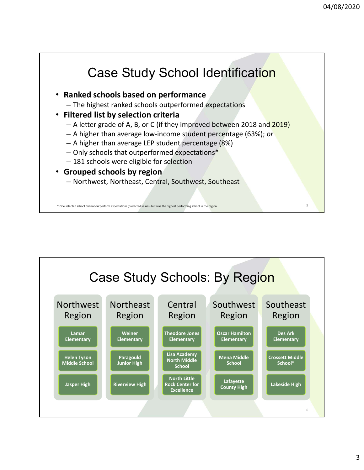## Case Study School Identification

- Ranked schools based on performance
	- The highest ranked schools outperformed expectations
- Filtered list by selection criteria
	- A letter grade of A, B, or C (if they improved between 2018 and 2019)
	- $-$  A higher than average low-income student percentage (63%); or
	- A higher than average LEP student percentage (8%)
	- Only schools that outperformed expectations\*
	- 181 schools were eligible for selection
- Grouped schools by region
	- Northwest, Northeast, Central, Southwest, Southeast

\* One selected school did not outperform expectations (predicted values) but was the highest performing school in the region.

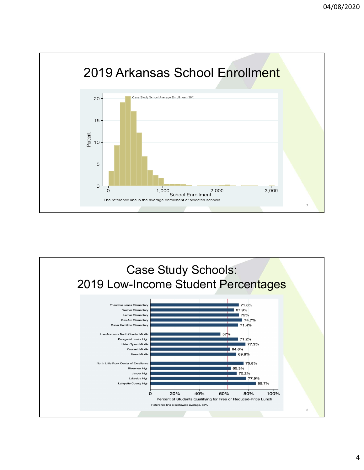